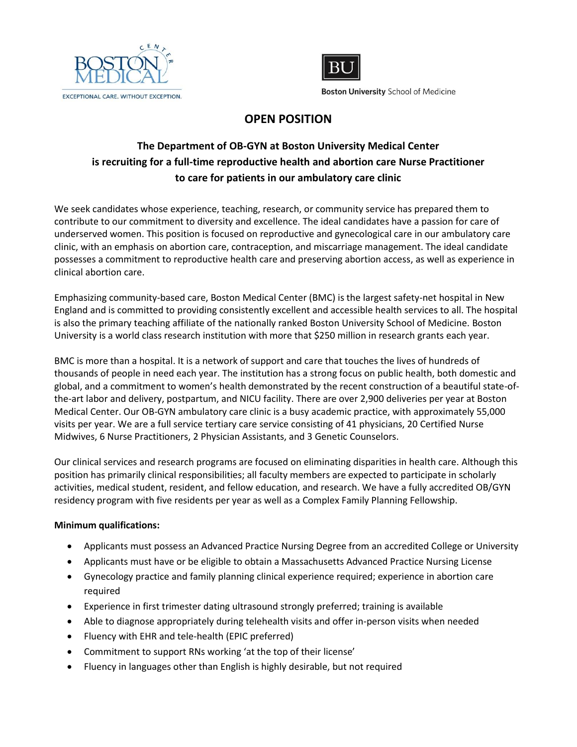



**Boston University School of Medicine** 

## **OPEN POSITION**

## **The Department of OB-GYN at Boston University Medical Center is recruiting for a full-time reproductive health and abortion care Nurse Practitioner to care for patients in our ambulatory care clinic**

We seek candidates whose experience, teaching, research, or community service has prepared them to contribute to our commitment to diversity and excellence. The ideal candidates have a passion for care of underserved women. This position is focused on reproductive and gynecological care in our ambulatory care clinic, with an emphasis on abortion care, contraception, and miscarriage management. The ideal candidate possesses a commitment to reproductive health care and preserving abortion access, as well as experience in clinical abortion care.

Emphasizing community-based care, Boston Medical Center (BMC) is the largest safety-net hospital in New England and is committed to providing consistently excellent and accessible health services to all. The hospital is also the primary teaching affiliate of the nationally ranked Boston University School of Medicine. Boston University is a world class research institution with more that \$250 million in research grants each year.

BMC is more than a hospital. It is a network of support and care that touches the lives of hundreds of thousands of people in need each year. The institution has a strong focus on public health, both domestic and global, and a commitment to women's health demonstrated by the recent construction of a beautiful state-ofthe-art labor and delivery, postpartum, and NICU facility. There are over 2,900 deliveries per year at Boston Medical Center. Our OB-GYN ambulatory care clinic is a busy academic practice, with approximately 55,000 visits per year. We are a full service tertiary care service consisting of 41 physicians, 20 Certified Nurse Midwives, 6 Nurse Practitioners, 2 Physician Assistants, and 3 Genetic Counselors.

Our clinical services and research programs are focused on eliminating disparities in health care. Although this position has primarily clinical responsibilities; all faculty members are expected to participate in scholarly activities, medical student, resident, and fellow education, and research. We have a fully accredited OB/GYN residency program with five residents per year as well as a Complex Family Planning Fellowship.

## **Minimum qualifications:**

- Applicants must possess an Advanced Practice Nursing Degree from an accredited College or University
- Applicants must have or be eligible to obtain a Massachusetts Advanced Practice Nursing License
- Gynecology practice and family planning clinical experience required; experience in abortion care required
- Experience in first trimester dating ultrasound strongly preferred; training is available
- Able to diagnose appropriately during telehealth visits and offer in-person visits when needed
- Fluency with EHR and tele-health (EPIC preferred)
- Commitment to support RNs working 'at the top of their license'
- Fluency in languages other than English is highly desirable, but not required